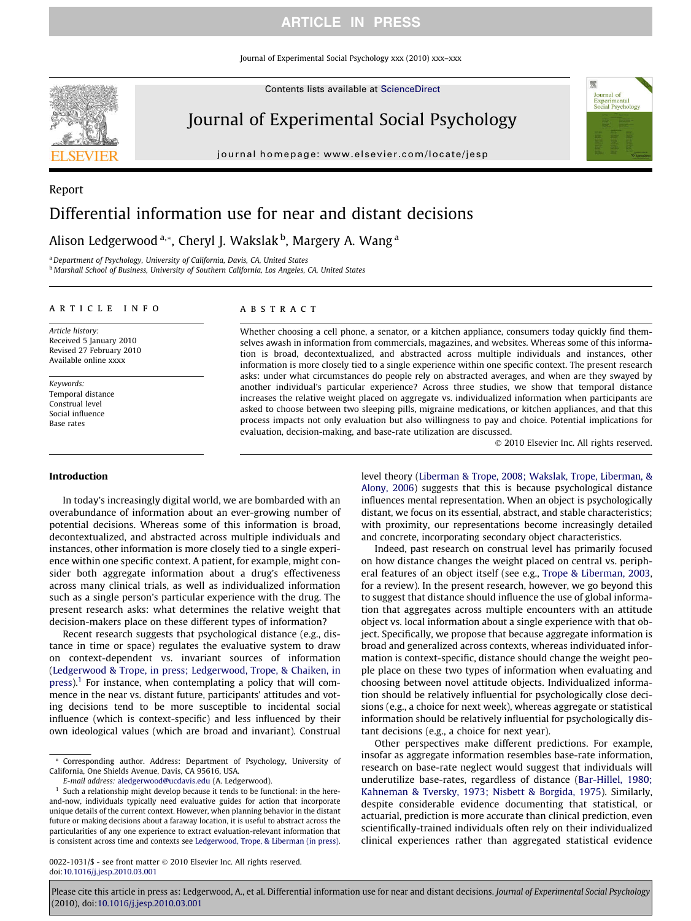# ARTICLE IN PRESS

Journal of Experimental Social Psychology xxx (2010) xxx–xxx

Contents lists available at [ScienceDirect](http://www.sciencedirect.com/science/journal/00221031)

Journal of Experimental Social Psychology

journal homepage: [www.elsevier.com/locate/jesp](http://www.elsevier.com/locate/jesp)



# Report Differential information use for near and distant decisions

Alison Ledgerwood <sup>a,</sup>\*, Cheryl J. Wakslak <sup>b</sup>, Margery A. Wang <sup>a</sup>

<sup>a</sup> Department of Psychology, University of California, Davis, CA, United States <sup>b</sup> Marshall School of Business, University of Southern California, Los Angeles, CA, United States

#### article info

Article history: Received 5 January 2010 Revised 27 February 2010 Available online xxxx

Keywords: Temporal distance Construal level Social influence Base rates

#### **ABSTRACT**

Whether choosing a cell phone, a senator, or a kitchen appliance, consumers today quickly find themselves awash in information from commercials, magazines, and websites. Whereas some of this information is broad, decontextualized, and abstracted across multiple individuals and instances, other information is more closely tied to a single experience within one specific context. The present research asks: under what circumstances do people rely on abstracted averages, and when are they swayed by another individual's particular experience? Across three studies, we show that temporal distance increases the relative weight placed on aggregate vs. individualized information when participants are asked to choose between two sleeping pills, migraine medications, or kitchen appliances, and that this process impacts not only evaluation but also willingness to pay and choice. Potential implications for evaluation, decision-making, and base-rate utilization are discussed.

- 2010 Elsevier Inc. All rights reserved.

### Introduction

In today's increasingly digital world, we are bombarded with an overabundance of information about an ever-growing number of potential decisions. Whereas some of this information is broad, decontextualized, and abstracted across multiple individuals and instances, other information is more closely tied to a single experience within one specific context. A patient, for example, might consider both aggregate information about a drug's effectiveness across many clinical trials, as well as individualized information such as a single person's particular experience with the drug. The present research asks: what determines the relative weight that decision-makers place on these different types of information?

Recent research suggests that psychological distance (e.g., distance in time or space) regulates the evaluative system to draw on context-dependent vs. invariant sources of information ([Ledgerwood & Trope, in press; Ledgerwood, Trope, & Chaiken, in](#page-4-0)  $pres).<sup>1</sup>$  For instance, when contemplating a policy that will commence in the near vs. distant future, participants' attitudes and voting decisions tend to be more susceptible to incidental social influence (which is context-specific) and less influenced by their own ideological values (which are broad and invariant). Construal

0022-1031/\$ - see front matter © 2010 Elsevier Inc. All rights reserved. doi[:10.1016/j.jesp.2010.03.001](http://dx.doi.org/10.1016/j.jesp.2010.03.001)

level theory [\(Liberman & Trope, 2008; Wakslak, Trope, Liberman, &](#page-4-0) [Alony, 2006\)](#page-4-0) suggests that this is because psychological distance influences mental representation. When an object is psychologically distant, we focus on its essential, abstract, and stable characteristics; with proximity, our representations become increasingly detailed and concrete, incorporating secondary object characteristics.

Indeed, past research on construal level has primarily focused on how distance changes the weight placed on central vs. peripheral features of an object itself (see e.g., [Trope & Liberman, 2003,](#page-4-0) for a review). In the present research, however, we go beyond this to suggest that distance should influence the use of global information that aggregates across multiple encounters with an attitude object vs. local information about a single experience with that object. Specifically, we propose that because aggregate information is broad and generalized across contexts, whereas individuated information is context-specific, distance should change the weight people place on these two types of information when evaluating and choosing between novel attitude objects. Individualized information should be relatively influential for psychologically close decisions (e.g., a choice for next week), whereas aggregate or statistical information should be relatively influential for psychologically distant decisions (e.g., a choice for next year).

Other perspectives make different predictions. For example, insofar as aggregate information resembles base-rate information, research on base-rate neglect would suggest that individuals will underutilize base-rates, regardless of distance ([Bar-Hillel, 1980;](#page-4-0) [Kahneman & Tversky, 1973; Nisbett & Borgida, 1975](#page-4-0)). Similarly, despite considerable evidence documenting that statistical, or actuarial, prediction is more accurate than clinical prediction, even scientifically-trained individuals often rely on their individualized clinical experiences rather than aggregated statistical evidence

Please cite this article in press as: Ledgerwood, A., et al. Differential information use for near and distant decisions. Journal of Experimental Social Psychology (2010), doi:[10.1016/j.jesp.2010.03.001](http://dx.doi.org/10.1016/j.jesp.2010.03.001)

<sup>\*</sup> Corresponding author. Address: Department of Psychology, University of California, One Shields Avenue, Davis, CA 95616, USA.

E-mail address: [aledgerwood@ucdavis.edu](mailto:aledgerwood@ucdavis.edu) (A. Ledgerwood).

Such a relationship might develop because it tends to be functional: in the hereand-now, individuals typically need evaluative guides for action that incorporate unique details of the current context. However, when planning behavior in the distant future or making decisions about a faraway location, it is useful to abstract across the particularities of any one experience to extract evaluation-relevant information that is consistent across time and contexts see [Ledgerwood, Trope, & Liberman \(in press\)](#page-4-0).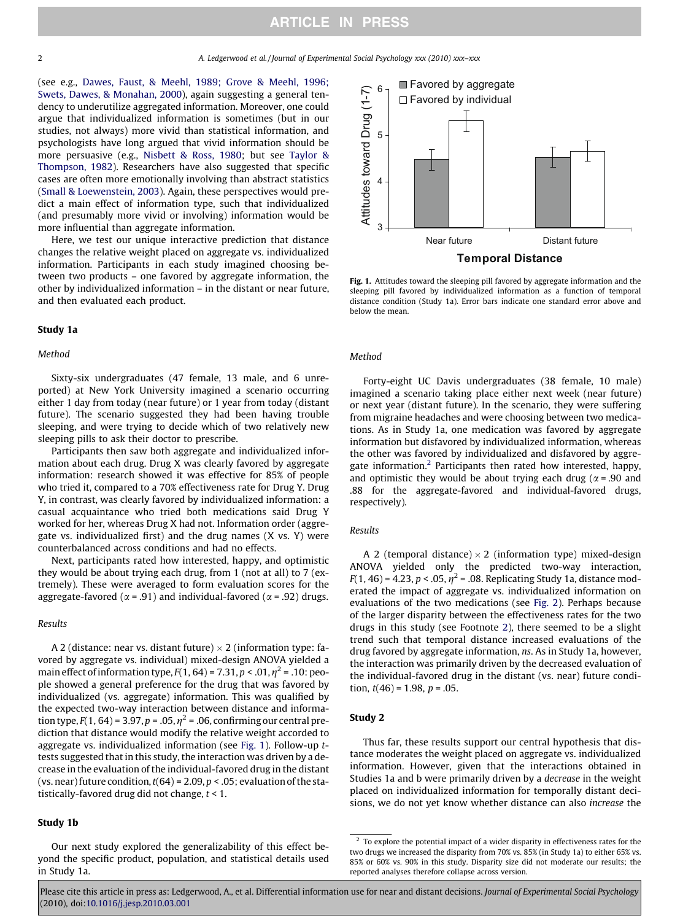(see e.g., [Dawes, Faust, & Meehl, 1989; Grove & Meehl, 1996;](#page-4-0) [Swets, Dawes, & Monahan, 2000\)](#page-4-0), again suggesting a general tendency to underutilize aggregated information. Moreover, one could argue that individualized information is sometimes (but in our studies, not always) more vivid than statistical information, and psychologists have long argued that vivid information should be more persuasive (e.g., [Nisbett & Ross, 1980](#page-4-0); but see [Taylor &](#page-4-0) [Thompson, 1982](#page-4-0)). Researchers have also suggested that specific cases are often more emotionally involving than abstract statistics ([Small & Loewenstein, 2003\)](#page-4-0). Again, these perspectives would predict a main effect of information type, such that individualized (and presumably more vivid or involving) information would be more influential than aggregate information.

Here, we test our unique interactive prediction that distance changes the relative weight placed on aggregate vs. individualized information. Participants in each study imagined choosing between two products – one favored by aggregate information, the other by individualized information – in the distant or near future, and then evaluated each product.

#### Study 1a

#### Method

Sixty-six undergraduates (47 female, 13 male, and 6 unreported) at New York University imagined a scenario occurring either 1 day from today (near future) or 1 year from today (distant future). The scenario suggested they had been having trouble sleeping, and were trying to decide which of two relatively new sleeping pills to ask their doctor to prescribe.

Participants then saw both aggregate and individualized information about each drug. Drug X was clearly favored by aggregate information: research showed it was effective for 85% of people who tried it, compared to a 70% effectiveness rate for Drug Y. Drug Y, in contrast, was clearly favored by individualized information: a casual acquaintance who tried both medications said Drug Y worked for her, whereas Drug X had not. Information order (aggregate vs. individualized first) and the drug names (X vs. Y) were counterbalanced across conditions and had no effects.

Next, participants rated how interested, happy, and optimistic they would be about trying each drug, from 1 (not at all) to 7 (extremely). These were averaged to form evaluation scores for the aggregate-favored ( $\alpha$  = .91) and individual-favored ( $\alpha$  = .92) drugs.

#### Results

A 2 (distance: near vs. distant future)  $\times$  2 (information type: favored by aggregate vs. individual) mixed-design ANOVA yielded a main effect of information type,  $F(1, 64) = 7.31$ ,  $p < .01$ ,  $p^2 = .10$ : people showed a general preference for the drug that was favored by individualized (vs. aggregate) information. This was qualified by the expected two-way interaction between distance and information type,  $F(1, 64) = 3.97$ ,  $p = .05$ ,  $n^2 = .06$ , confirming our central prediction that distance would modify the relative weight accorded to aggregate vs. individualized information (see Fig. 1). Follow-up ttests suggested that in this study, the interaction was driven by a decrease in the evaluation of the individual-favored drug in the distant (vs. near) future condition,  $t(64) = 2.09$ ,  $p < .05$ ; evaluation of the statistically-favored drug did not change,  $t < 1$ .

#### Study 1b

Our next study explored the generalizability of this effect beyond the specific product, population, and statistical details used in Study 1a.



Fig. 1. Attitudes toward the sleeping pill favored by aggregate information and the sleeping pill favored by individualized information as a function of temporal distance condition (Study 1a). Error bars indicate one standard error above and below the mean.

#### Method

Forty-eight UC Davis undergraduates (38 female, 10 male) imagined a scenario taking place either next week (near future) or next year (distant future). In the scenario, they were suffering from migraine headaches and were choosing between two medications. As in Study 1a, one medication was favored by aggregate information but disfavored by individualized information, whereas the other was favored by individualized and disfavored by aggregate information.<sup>2</sup> Participants then rated how interested, happy, and optimistic they would be about trying each drug ( $\alpha$  = .90 and .88 for the aggregate-favored and individual-favored drugs, respectively).

#### Results

A 2 (temporal distance) $\times$  2 (information type) mixed-design ANOVA yielded only the predicted two-way interaction,  $F(1, 46) = 4.23$ ,  $p < .05$ ,  $\eta^2 = .08$ . Replicating Study 1a, distance moderated the impact of aggregate vs. individualized information on evaluations of the two medications (see [Fig. 2](#page-2-0)). Perhaps because of the larger disparity between the effectiveness rates for the two drugs in this study (see Footnote 2), there seemed to be a slight trend such that temporal distance increased evaluations of the drug favored by aggregate information, ns. As in Study 1a, however, the interaction was primarily driven by the decreased evaluation of the individual-favored drug in the distant (vs. near) future condition,  $t(46) = 1.98$ ,  $p = .05$ .

#### Study 2

Thus far, these results support our central hypothesis that distance moderates the weight placed on aggregate vs. individualized information. However, given that the interactions obtained in Studies 1a and b were primarily driven by a decrease in the weight placed on individualized information for temporally distant decisions, we do not yet know whether distance can also increase the

 $2$  To explore the potential impact of a wider disparity in effectiveness rates for the two drugs we increased the disparity from 70% vs. 85% (in Study 1a) to either 65% vs. 85% or 60% vs. 90% in this study. Disparity size did not moderate our results; the reported analyses therefore collapse across version.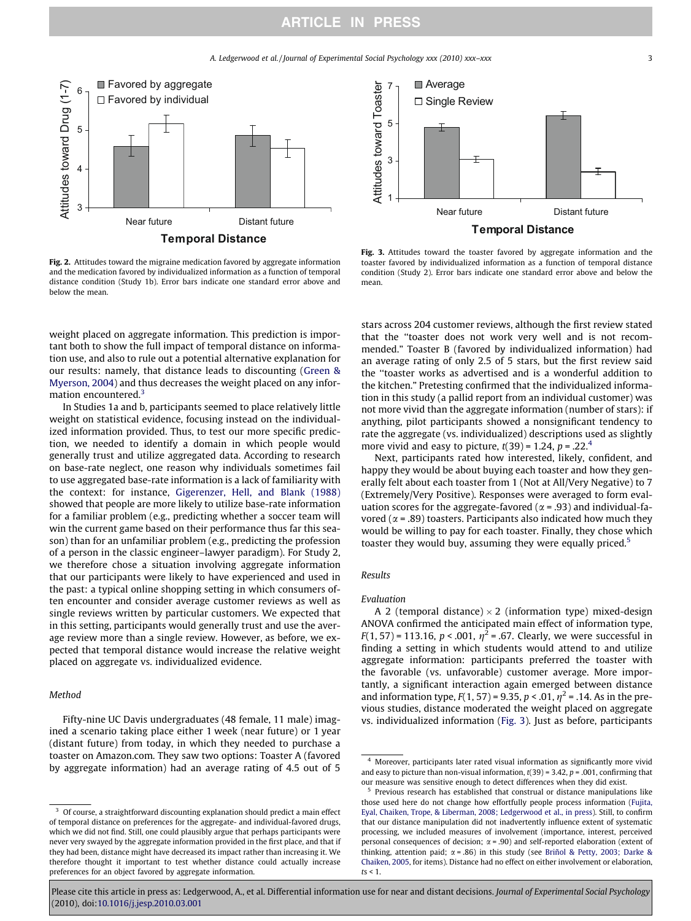A. Ledgerwood et al. / Journal of Experimental Social Psychology xxx (2010) xxx–xxx 3

<span id="page-2-0"></span>

Fig. 2. Attitudes toward the migraine medication favored by aggregate information and the medication favored by individualized information as a function of temporal distance condition (Study 1b). Error bars indicate one standard error above and below the mean.

weight placed on aggregate information. This prediction is important both to show the full impact of temporal distance on information use, and also to rule out a potential alternative explanation for our results: namely, that distance leads to discounting ([Green &](#page-4-0) [Myerson, 2004](#page-4-0)) and thus decreases the weight placed on any information encountered.<sup>3</sup>

In Studies 1a and b, participants seemed to place relatively little weight on statistical evidence, focusing instead on the individualized information provided. Thus, to test our more specific prediction, we needed to identify a domain in which people would generally trust and utilize aggregated data. According to research on base-rate neglect, one reason why individuals sometimes fail to use aggregated base-rate information is a lack of familiarity with the context: for instance, [Gigerenzer, Hell, and Blank \(1988\)](#page-4-0) showed that people are more likely to utilize base-rate information for a familiar problem (e.g., predicting whether a soccer team will win the current game based on their performance thus far this season) than for an unfamiliar problem (e.g., predicting the profession of a person in the classic engineer–lawyer paradigm). For Study 2, we therefore chose a situation involving aggregate information that our participants were likely to have experienced and used in the past: a typical online shopping setting in which consumers often encounter and consider average customer reviews as well as single reviews written by particular customers. We expected that in this setting, participants would generally trust and use the average review more than a single review. However, as before, we expected that temporal distance would increase the relative weight placed on aggregate vs. individualized evidence.

# Method

Fifty-nine UC Davis undergraduates (48 female, 11 male) imagined a scenario taking place either 1 week (near future) or 1 year (distant future) from today, in which they needed to purchase a toaster on Amazon.com. They saw two options: Toaster A (favored by aggregate information) had an average rating of 4.5 out of 5



Fig. 3. Attitudes toward the toaster favored by aggregate information and the toaster favored by individualized information as a function of temporal distance condition (Study 2). Error bars indicate one standard error above and below the mean.

stars across 204 customer reviews, although the first review stated that the ''toaster does not work very well and is not recommended." Toaster B (favored by individualized information) had an average rating of only 2.5 of 5 stars, but the first review said the ''toaster works as advertised and is a wonderful addition to the kitchen." Pretesting confirmed that the individualized information in this study (a pallid report from an individual customer) was not more vivid than the aggregate information (number of stars): if anything, pilot participants showed a nonsignificant tendency to rate the aggregate (vs. individualized) descriptions used as slightly more vivid and easy to picture,  $t(39) = 1.24$ ,  $p = .22<sup>4</sup>$ 

Next, participants rated how interested, likely, confident, and happy they would be about buying each toaster and how they generally felt about each toaster from 1 (Not at All/Very Negative) to 7 (Extremely/Very Positive). Responses were averaged to form evaluation scores for the aggregate-favored ( $\alpha$  = .93) and individual-favored ( $\alpha$  = .89) toasters. Participants also indicated how much they would be willing to pay for each toaster. Finally, they chose which toaster they would buy, assuming they were equally priced.<sup>5</sup>

#### Results

# Evaluation

A 2 (temporal distance)  $\times$  2 (information type) mixed-design ANOVA confirmed the anticipated main effect of information type,  $F(1, 57) = 113.16$ ,  $p < .001$ ,  $\eta^2 = .67$ . Clearly, we were successful in finding a setting in which students would attend to and utilize aggregate information: participants preferred the toaster with the favorable (vs. unfavorable) customer average. More importantly, a significant interaction again emerged between distance and information type,  $F(1, 57) = 9.35$ ,  $p < .01$ ,  $\eta^2 = .14$ . As in the previous studies, distance moderated the weight placed on aggregate vs. individualized information (Fig. 3). Just as before, participants

Please cite this article in press as: Ledgerwood, A., et al. Differential information use for near and distant decisions. Journal of Experimental Social Psychology (2010), doi:[10.1016/j.jesp.2010.03.001](http://dx.doi.org/10.1016/j.jesp.2010.03.001)

<sup>3</sup> Of course, a straightforward discounting explanation should predict a main effect of temporal distance on preferences for the aggregate- and individual-favored drugs, which we did not find. Still, one could plausibly argue that perhaps participants were never very swayed by the aggregate information provided in the first place, and that if they had been, distance might have decreased its impact rather than increasing it. We therefore thought it important to test whether distance could actually increase preferences for an object favored by aggregate information.

<sup>4</sup> Moreover, participants later rated visual information as significantly more vivid and easy to picture than non-visual information,  $t(39) = 3.42$ ,  $p = .001$ , confirming that our measure was sensitive enough to detect differences when they did exist.

Previous research has established that construal or distance manipulations like those used here do not change how effortfully people process information [\(Fujita,](#page-4-0) [Eyal, Chaiken, Trope, & Liberman, 2008; Ledgerwood et al., in press\)](#page-4-0). Still, to confirm that our distance manipulation did not inadvertently influence extent of systematic processing, we included measures of involvement (importance, interest, perceived personal consequences of decision:  $\alpha = .90$ ) and self-reported elaboration (extent of thinking, attention paid;  $\alpha$  = .86) in this study (see [Briñol & Petty, 2003; Darke &](#page-4-0) [Chaiken, 2005,](#page-4-0) for items). Distance had no effect on either involvement or elaboration,  $ts < 1$ .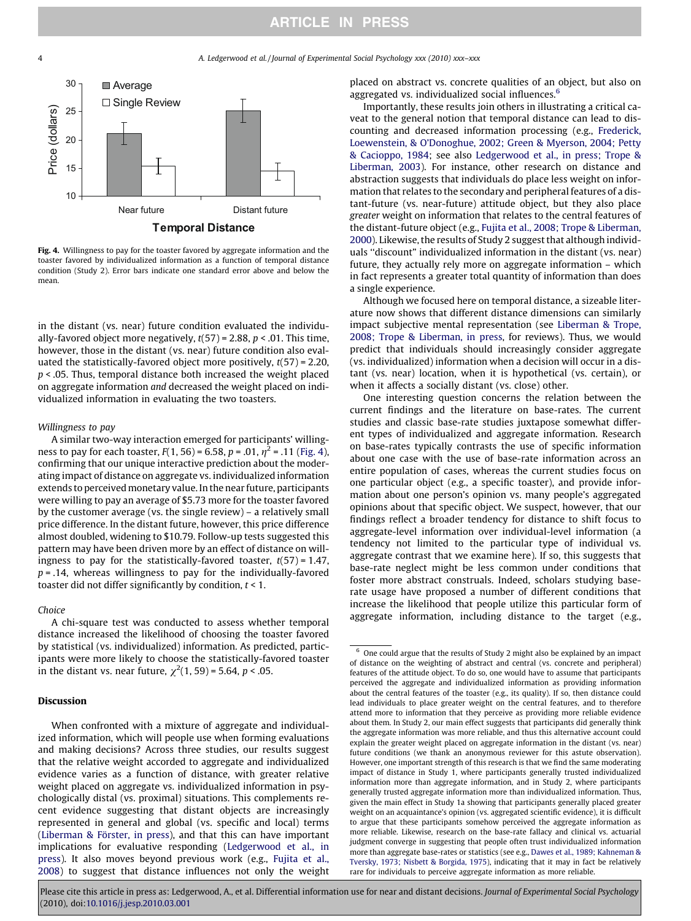4 A. Ledgerwood et al. / Journal of Experimental Social Psychology xxx (2010) xxx–xxx



Fig. 4. Willingness to pay for the toaster favored by aggregate information and the toaster favored by individualized information as a function of temporal distance condition (Study 2). Error bars indicate one standard error above and below the mean.

in the distant (vs. near) future condition evaluated the individually-favored object more negatively,  $t(57) = 2.88$ ,  $p < .01$ . This time, however, those in the distant (vs. near) future condition also evaluated the statistically-favored object more positively,  $t(57) = 2.20$ ,  $p <$  .05. Thus, temporal distance both increased the weight placed on aggregate information and decreased the weight placed on individualized information in evaluating the two toasters.

#### Willingness to pay

A similar two-way interaction emerged for participants' willingness to pay for each toaster,  $F(1, 56) = 6.58$ ,  $p = .01$ ,  $\eta^2 = .11$  (Fig. 4), confirming that our unique interactive prediction about the moderating impact of distance on aggregate vs. individualized information extends to perceived monetary value. In the near future, participants were willing to pay an average of \$5.73 more for the toaster favored by the customer average (vs. the single review) – a relatively small price difference. In the distant future, however, this price difference almost doubled, widening to \$10.79. Follow-up tests suggested this pattern may have been driven more by an effect of distance on willingness to pay for the statistically-favored toaster,  $t(57) = 1.47$ ,  $p = .14$ , whereas willingness to pay for the individually-favored toaster did not differ significantly by condition,  $t < 1$ .

#### Choice

A chi-square test was conducted to assess whether temporal distance increased the likelihood of choosing the toaster favored by statistical (vs. individualized) information. As predicted, participants were more likely to choose the statistically-favored toaster in the distant vs. near future,  $\chi^2(1, 59)$  = 5.64, p < .05.

#### Discussion

When confronted with a mixture of aggregate and individualized information, which will people use when forming evaluations and making decisions? Across three studies, our results suggest that the relative weight accorded to aggregate and individualized evidence varies as a function of distance, with greater relative weight placed on aggregate vs. individualized information in psychologically distal (vs. proximal) situations. This complements recent evidence suggesting that distant objects are increasingly represented in general and global (vs. specific and local) terms ([Liberman & Förster, in press](#page-4-0)), and that this can have important implications for evaluative responding ([Ledgerwood et al., in](#page-4-0) [press](#page-4-0)). It also moves beyond previous work (e.g., [Fujita et al.,](#page-4-0) [2008\)](#page-4-0) to suggest that distance influences not only the weight

placed on abstract vs. concrete qualities of an object, but also on aggregated vs. individualized social influences.<sup>6</sup>

Importantly, these results join others in illustrating a critical caveat to the general notion that temporal distance can lead to discounting and decreased information processing (e.g., [Frederick,](#page-4-0) [Loewenstein, & O'Donoghue, 2002; Green & Myerson, 2004; Petty](#page-4-0) [& Cacioppo, 1984;](#page-4-0) see also [Ledgerwood et al., in press; Trope &](#page-4-0) [Liberman, 2003\)](#page-4-0). For instance, other research on distance and abstraction suggests that individuals do place less weight on information that relates to the secondary and peripheral features of a distant-future (vs. near-future) attitude object, but they also place greater weight on information that relates to the central features of the distant-future object (e.g., [Fujita et al., 2008; Trope & Liberman,](#page-4-0) [2000](#page-4-0)). Likewise, the results of Study 2 suggest that although individuals ''discount" individualized information in the distant (vs. near) future, they actually rely more on aggregate information – which in fact represents a greater total quantity of information than does a single experience.

Although we focused here on temporal distance, a sizeable literature now shows that different distance dimensions can similarly impact subjective mental representation (see [Liberman & Trope,](#page-4-0) [2008; Trope & Liberman, in press](#page-4-0), for reviews). Thus, we would predict that individuals should increasingly consider aggregate (vs. individualized) information when a decision will occur in a distant (vs. near) location, when it is hypothetical (vs. certain), or when it affects a socially distant (vs. close) other.

One interesting question concerns the relation between the current findings and the literature on base-rates. The current studies and classic base-rate studies juxtapose somewhat different types of individualized and aggregate information. Research on base-rates typically contrasts the use of specific information about one case with the use of base-rate information across an entire population of cases, whereas the current studies focus on one particular object (e.g., a specific toaster), and provide information about one person's opinion vs. many people's aggregated opinions about that specific object. We suspect, however, that our findings reflect a broader tendency for distance to shift focus to aggregate-level information over individual-level information (a tendency not limited to the particular type of individual vs. aggregate contrast that we examine here). If so, this suggests that base-rate neglect might be less common under conditions that foster more abstract construals. Indeed, scholars studying baserate usage have proposed a number of different conditions that increase the likelihood that people utilize this particular form of aggregate information, including distance to the target (e.g.,

Please cite this article in press as: Ledgerwood, A., et al. Differential information use for near and distant decisions. Journal of Experimental Social Psychology (2010), doi[:10.1016/j.jesp.2010.03.001](http://dx.doi.org/10.1016/j.jesp.2010.03.001)

 $6$  One could argue that the results of Study 2 might also be explained by an impact of distance on the weighting of abstract and central (vs. concrete and peripheral) features of the attitude object. To do so, one would have to assume that participants perceived the aggregate and individualized information as providing information about the central features of the toaster (e.g., its quality). If so, then distance could lead individuals to place greater weight on the central features, and to therefore attend more to information that they perceive as providing more reliable evidence about them. In Study 2, our main effect suggests that participants did generally think the aggregate information was more reliable, and thus this alternative account could explain the greater weight placed on aggregate information in the distant (vs. near) future conditions (we thank an anonymous reviewer for this astute observation). However, one important strength of this research is that we find the same moderating impact of distance in Study 1, where participants generally trusted individualized information more than aggregate information, and in Study 2, where participants generally trusted aggregate information more than individualized information. Thus, given the main effect in Study 1a showing that participants generally placed greater weight on an acquaintance's opinion (vs. aggregated scientific evidence), it is difficult to argue that these participants somehow perceived the aggregate information as more reliable. Likewise, research on the base-rate fallacy and clinical vs. actuarial judgment converge in suggesting that people often trust individualized information more than aggregate base-rates or statistics (see e.g., [Dawes et al., 1989; Kahneman &](#page-4-0) [Tversky, 1973; Nisbett & Borgida, 1975\)](#page-4-0), indicating that it may in fact be relatively rare for individuals to perceive aggregate information as more reliable.